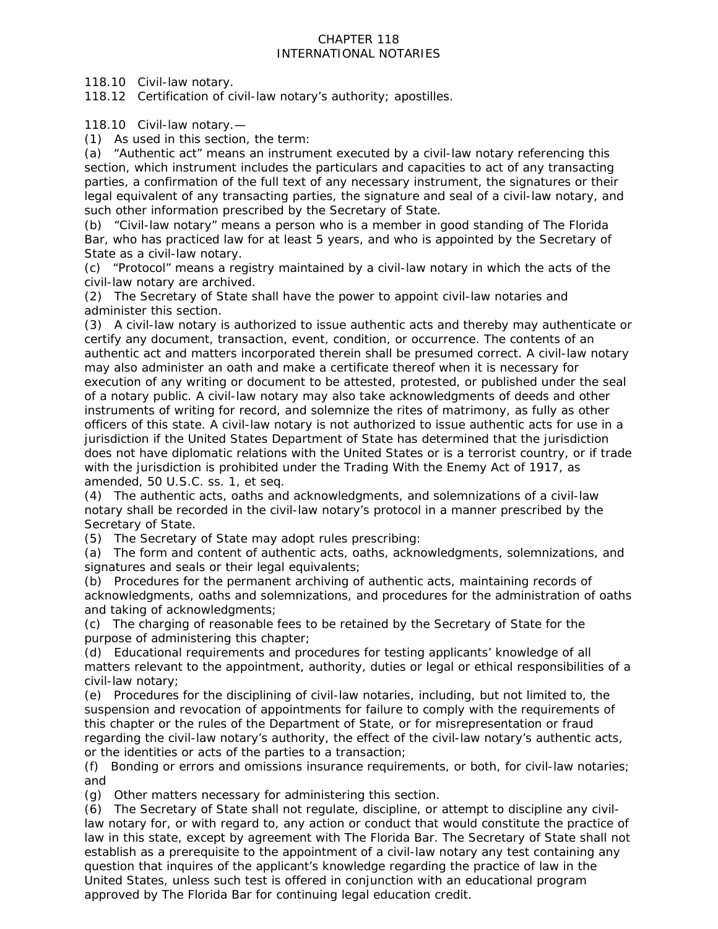## CHAPTER 118 INTERNATIONAL NOTARIES

118.10 Civil-law notary.

118.12 Certification of civil-law notary's authority; apostilles.

118.10 Civil-law notary.—

(1) As used in this section, the term:

(a) "Authentic act" means an instrument executed by a civil-law notary referencing this section, which instrument includes the particulars and capacities to act of any transacting parties, a confirmation of the full text of any necessary instrument, the signatures or their legal equivalent of any transacting parties, the signature and seal of a civil-law notary, and such other information prescribed by the Secretary of State.

(b) "Civil-law notary" means a person who is a member in good standing of The Florida Bar, who has practiced law for at least 5 years, and who is appointed by the Secretary of State as a civil-law notary.

(c) "Protocol" means a registry maintained by a civil-law notary in which the acts of the civil-law notary are archived.

(2) The Secretary of State shall have the power to appoint civil-law notaries and administer this section.

(3) A civil-law notary is authorized to issue authentic acts and thereby may authenticate or certify any document, transaction, event, condition, or occurrence. The contents of an authentic act and matters incorporated therein shall be presumed correct. A civil-law notary may also administer an oath and make a certificate thereof when it is necessary for execution of any writing or document to be attested, protested, or published under the seal of a notary public. A civil-law notary may also take acknowledgments of deeds and other instruments of writing for record, and solemnize the rites of matrimony, as fully as other officers of this state. A civil-law notary is not authorized to issue authentic acts for use in a jurisdiction if the United States Department of State has determined that the jurisdiction does not have diplomatic relations with the United States or is a terrorist country, or if trade with the jurisdiction is prohibited under the Trading With the Enemy Act of 1917, as amended, 50 U.S.C. ss. 1, et seq.

(4) The authentic acts, oaths and acknowledgments, and solemnizations of a civil-law notary shall be recorded in the civil-law notary's protocol in a manner prescribed by the Secretary of State.

(5) The Secretary of State may adopt rules prescribing:

(a) The form and content of authentic acts, oaths, acknowledgments, solemnizations, and signatures and seals or their legal equivalents;

(b) Procedures for the permanent archiving of authentic acts, maintaining records of acknowledgments, oaths and solemnizations, and procedures for the administration of oaths and taking of acknowledgments;

(c) The charging of reasonable fees to be retained by the Secretary of State for the purpose of administering this chapter;

(d) Educational requirements and procedures for testing applicants' knowledge of all matters relevant to the appointment, authority, duties or legal or ethical responsibilities of a civil-law notary;

(e) Procedures for the disciplining of civil-law notaries, including, but not limited to, the suspension and revocation of appointments for failure to comply with the requirements of this chapter or the rules of the Department of State, or for misrepresentation or fraud regarding the civil-law notary's authority, the effect of the civil-law notary's authentic acts, or the identities or acts of the parties to a transaction;

(f) Bonding or errors and omissions insurance requirements, or both, for civil-law notaries; and

(g) Other matters necessary for administering this section.

(6) The Secretary of State shall not regulate, discipline, or attempt to discipline any civillaw notary for, or with regard to, any action or conduct that would constitute the practice of law in this state, except by agreement with The Florida Bar. The Secretary of State shall not establish as a prerequisite to the appointment of a civil-law notary any test containing any question that inquires of the applicant's knowledge regarding the practice of law in the United States, unless such test is offered in conjunction with an educational program approved by The Florida Bar for continuing legal education credit.